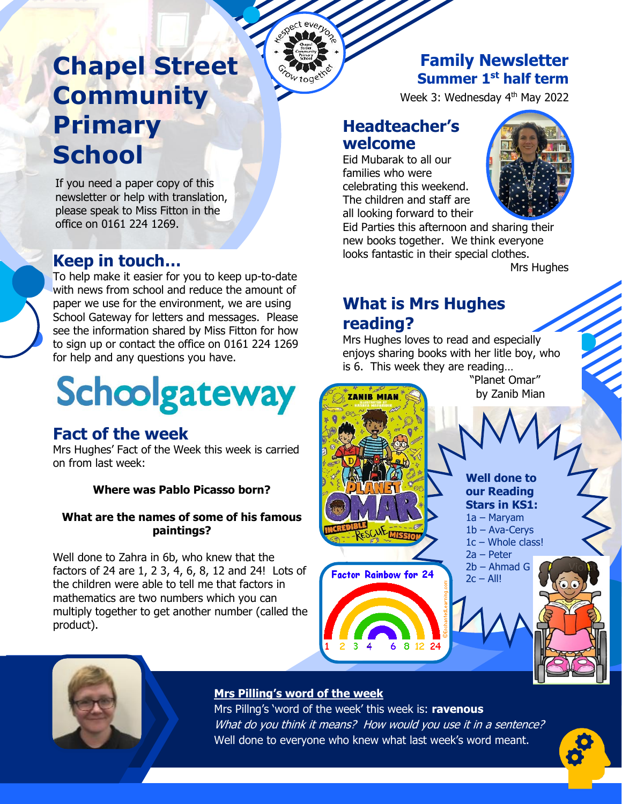# **Chapel Street Community Primary School**

If you need a paper copy of this **Rewsletter or help with translation,<br>please speak to Miss Fitton in the** please speak to Miss Fitton in the office on 0161 224 1269.

### **Keep in touch…**

To help make it easier for you to keep up-to-date with news from school and reduce the amount of paper we use for the environment, we are using School Gateway for letters and messages. Please see the information shared by Miss Fitton for how to sign up or contact the office on 0161 224 1269 for help and any questions you have.

# **Schoolgateway**

#### **Fact of the week**

Mrs Hughes' Fact of the Week this week is carried on from last week:

#### **Where was Pablo Picasso born?**

#### **What are the names of some of his famous paintings?**

Well done to Zahra in 6b, who knew that the factors of 24 are 1, 2 3, 4, 6, 8, 12 and 24! Lots of the children were able to tell me that factors in mathematics are two numbers which you can multiply together to get another number (called the product).

### **Family Newsletter Summer 1st half term**

Week 3: Wednesday 4<sup>th</sup> May 2022

#### **Headteacher's welcome**

everyon M

> Eid Mubarak to all our families who were celebrating this weekend. The children and staff are all looking forward to their



Eid Parties this afternoon and sharing their new books together. We think everyone looks fantastic in their special clothes.

Mrs Hughes

#### **What is Mrs Hughes reading?**

Mrs Hughes loves to read and especially enjoys sharing books with her litle boy, who is 6. This week they are reading…





#### **Mrs Pilling's word of the week**

Mrs Pillng's 'word of the week' this week is: **ravenous** What do you think it means? How would you use it in a sentence? Well done to everyone who knew what last week's word meant.